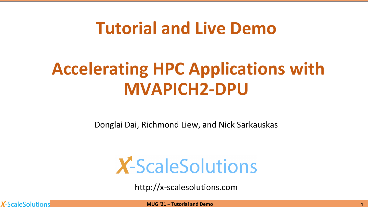## **Tutorial and Live Demo**

# **Accelerating HPC Applications with MVAPICH2-DPU**

Donglai Dai, Richmond Liew, and Nick Sarkauskas

# **X-ScaleSolutions**

http://x-scalesolutions.com

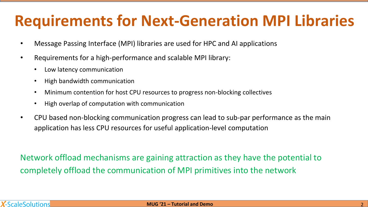### **Requirements for Next-Generation MPI Libraries**

- Message Passing Interface (MPI) libraries are used for HPC and AI applications
- Requirements for a high-performance and scalable MPI library:
	- Low latency communication
	- High bandwidth communication
	- Minimum contention for host CPU resources to progress non-blocking collectives
	- High overlap of computation with communication
- CPU based non-blocking communication progress can lead to sub-par performance as the main application has less CPU resources for useful application-level computation

Network offload mechanisms are gaining attraction as they have the potential to completely offload the communication of MPI primitives into the network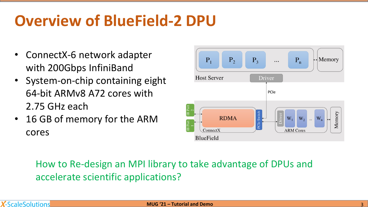## **Overview of BlueField-2 DPU**

- ConnectX-6 network adapter with 200Gbps InfiniBand
- System-on-chip containing eight 64-bit ARMv8 A72 cores with 2.75 GHz each
- 16 GB of memory for the ARM cores



How to Re-design an MPI library to take advantage of DPUs and accelerate scientific applications?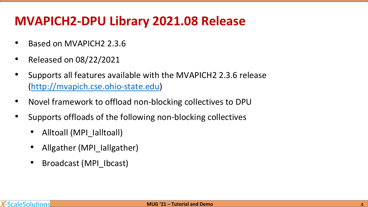#### **MVAPICH2-DPU Library 2021.08 Release**

- Based on MVAPICH2 2.3.6
- Released on 08/22/2021
- Supports all features available with the MVAPICH2 2.3.6 release [\(http://mvapich.cse.ohio-state.edu](http://mvapich.cse.ohio-stae.edu/))
- Novel framework to offload non-blocking collectives to DPU
- Supports offloads of the following non-blocking collectives
	- Alltoall (MPI\_Ialltoall)
	- Allgather (MPI lallgather)
	- Broadcast (MPI Ibcast)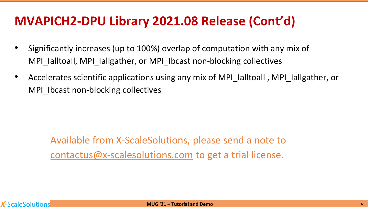#### **MVAPICH2-DPU Library 2021.08 Release (Cont'd)**

- Significantly increases (up to 100%) overlap of computation with any mix of MPI\_Ialltoall, MPI\_Iallgather, or MPI\_Ibcast non-blocking collectives
- Accelerates scientific applications using any mix of MPI\_Ialltoall , MPI\_Iallgather, or MPI\_Ibcast non-blocking collectives

Available from X-ScaleSolutions, please send a note to [contactus@x-scalesolutions.com](mailto:contact@x-scalesolutions.com) to get a trial license.

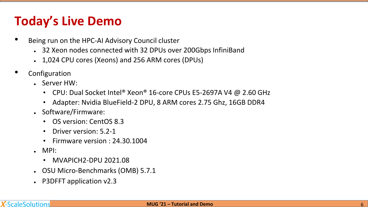#### **Today's Live Demo**

- Being run on the HPC-AI Advisory Council cluster
	- 32 Xeon nodes connected with 32 DPUs over 200Gbps InfiniBand
	- 1,024 CPU cores (Xeons) and 256 ARM cores (DPUs)
- **Configuration** 
	- $\cdot$  Server HW:
		- CPU: Dual Socket Intel® Xeon® 16-core CPUs E5-2697A V4 @ 2.60 GHz
		- Adapter: Nvidia BlueField-2 DPU, 8 ARM cores 2.75 Ghz, 16GB DDR4
	- Software/Firmware:
		- OS version: CentOS 8.3
		- Driver version: 5.2-1
		- Firmware version : 24.30.1004
	- $\blacksquare$  MPI:
		- MVAPICH2-DPU 2021.08
	- OSU Micro-Benchmarks (OMB) 5.7.1
	- P3DFFT application v2.3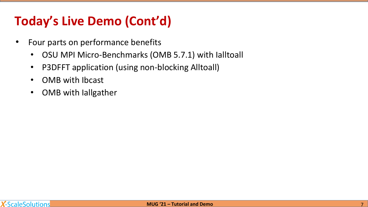#### **Today's Live Demo (Cont'd)**

- Four parts on performance benefits
	- OSU MPI Micro-Benchmarks (OMB 5.7.1) with Ialltoall
	- P3DFFT application (using non-blocking Alltoall)
	- OMB with Ibcast
	- OMB with Iallgather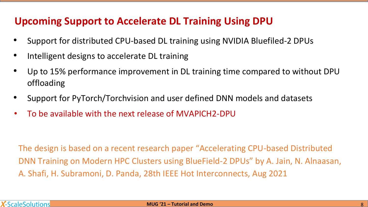#### **Upcoming Support to Accelerate DL Training Using DPU**

- Support for distributed CPU-based DL training using NVIDIA Bluefiled-2 DPUs
- Intelligent designs to accelerate DL training
- Up to 15% performance improvement in DL training time compared to without DPU offloading
- Support for PyTorch/Torchvision and user defined DNN models and datasets
- To be available with the next release of MVAPICH2-DPU

The design is based on a recent research paper "Accelerating CPU-based Distributed DNN Training on Modern HPC Clusters using BlueField-2 DPUs" by A. Jain, N. Alnaasan, A. Shafi, H. Subramoni, D. Panda, 28th IEEE Hot Interconnects, Aug 2021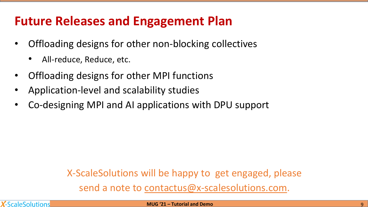#### **Future Releases and Engagement Plan**

- Offloading designs for other non-blocking collectives
	- All-reduce, Reduce, etc.
- Offloading designs for other MPI functions
- Application-level and scalability studies
- Co-designing MPI and AI applications with DPU support

X-ScaleSolutions will be happy to get engaged, please send a note to [contactus@x-scalesolutions.com.](mailto:contact@x-scalesolutions.com)